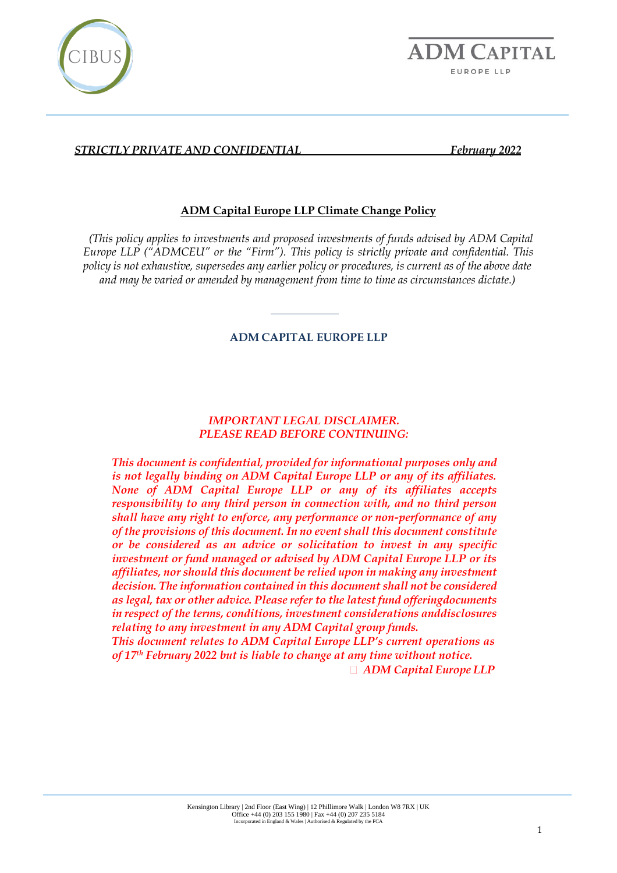



# **ADM Capital Europe LLP Climate Change Policy**

*(This policy applies to investments and proposed investments of funds advised by ADM Capital Europe LLP ("ADMCEU" or the "Firm"). This policy is strictly private and confidential. This policy is not exhaustive, supersedes any earlier policy or procedures, is current as of the above date and may be varied or amended by management from time to time as circumstances dictate.)*

#### **ADM CAPITAL EUROPE LLP**

### *IMPORTANT LEGAL DISCLAIMER. PLEASE READ BEFORE CONTINUING:*

*This document is confidential, provided for informational purposes only and is not legally binding on ADM Capital Europe LLP or any of its affiliates. None of ADM Capital Europe LLP or any of its affiliates accepts responsibility to any third person in connection with, and no third person shall have any right to enforce, any performance or non-performance of any of the provisions of this document. In no event shall this document constitute or be considered as an advice or solicitation to invest in any specific investment or fund managed or advised by ADM Capital Europe LLP or its affiliates, nor should this document be relied upon in making any investment decision. The information contained in this document shall not be considered as legal, tax or other advice. Please refer to the latest fund offeringdocuments in respect of the terms, conditions, investment considerations anddisclosures relating to any investment in any ADM Capital group funds.*

*This document relates to ADM Capital Europe LLP's current operations as of 17th February 2022 but is liable to change at any time without notice.*

*ADM Capital Europe LLP*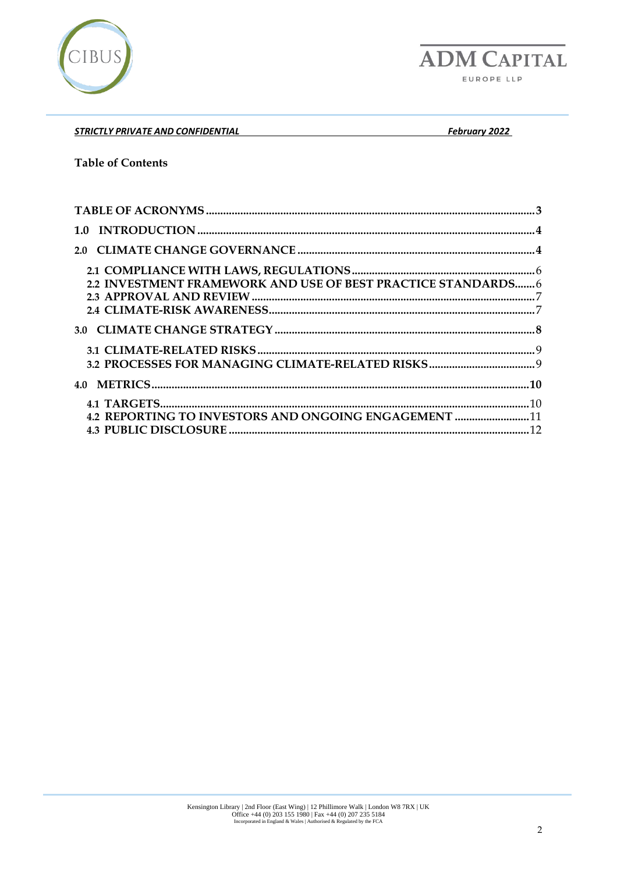

**ADM CAPITAL** EUROPE LLP

*STRICTLY PRIVATE AND CONFIDENTIAL February 2022* 

#### **Table of Contents**

| 2.2 INVESTMENT FRAMEWORK AND USE OF BEST PRACTICE STANDARDS 6 |  |
|---------------------------------------------------------------|--|
|                                                               |  |
|                                                               |  |
|                                                               |  |
|                                                               |  |
|                                                               |  |
|                                                               |  |
|                                                               |  |
| 4.2 REPORTING TO INVESTORS AND ONGOING ENGAGEMENT 11          |  |
|                                                               |  |
|                                                               |  |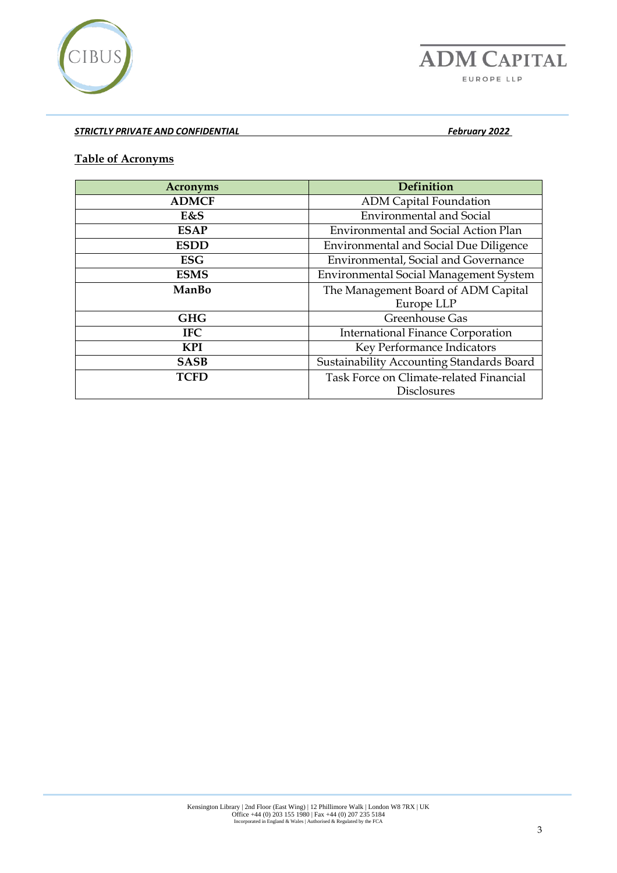

### <span id="page-2-0"></span>**Table of Acronyms**

| <b>Acronyms</b> | <b>Definition</b>                             |  |  |  |
|-----------------|-----------------------------------------------|--|--|--|
| <b>ADMCF</b>    | <b>ADM Capital Foundation</b>                 |  |  |  |
| E&S             | <b>Environmental and Social</b>               |  |  |  |
| <b>ESAP</b>     | <b>Environmental and Social Action Plan</b>   |  |  |  |
| <b>ESDD</b>     | <b>Environmental and Social Due Diligence</b> |  |  |  |
| <b>ESG</b>      | Environmental, Social and Governance          |  |  |  |
| <b>ESMS</b>     | <b>Environmental Social Management System</b> |  |  |  |
| ManBo           | The Management Board of ADM Capital           |  |  |  |
|                 | Europe LLP                                    |  |  |  |
| <b>GHG</b>      | Greenhouse Gas                                |  |  |  |
| <b>IFC</b>      | <b>International Finance Corporation</b>      |  |  |  |
| <b>KPI</b>      | Key Performance Indicators                    |  |  |  |
| <b>SASB</b>     | Sustainability Accounting Standards Board     |  |  |  |
| <b>TCFD</b>     | Task Force on Climate-related Financial       |  |  |  |
|                 | <b>Disclosures</b>                            |  |  |  |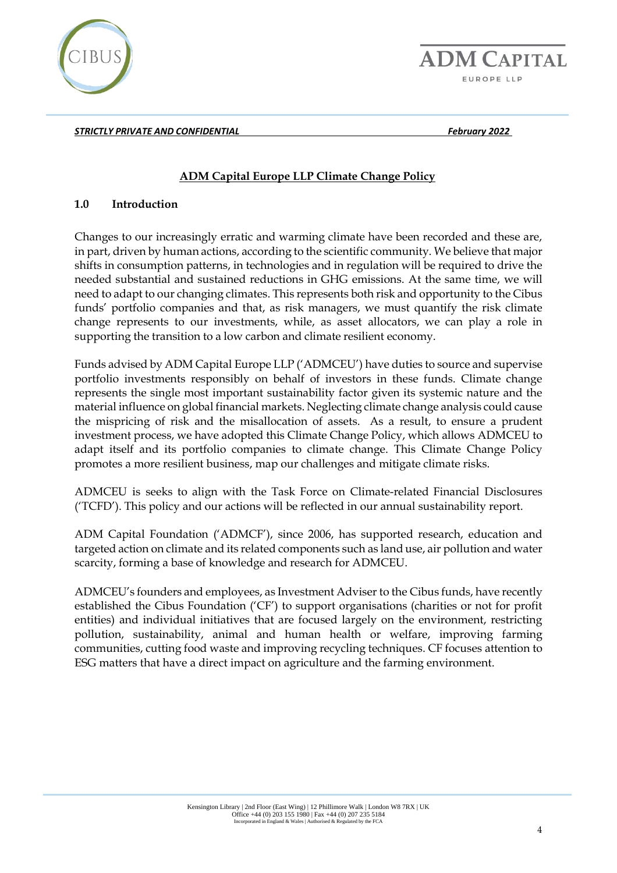

**ADM CAPITAL** EUROPE LLP

*STRICTLY PRIVATE AND CONFIDENTIAL February 2022* 

# **ADM Capital Europe LLP Climate Change Policy**

#### <span id="page-3-0"></span>**1.0 Introduction**

Changes to our increasingly erratic and warming climate have been recorded and these are, in part, driven by human actions, according to the scientific community. We believe that major shifts in consumption patterns, in technologies and in regulation will be required to drive the needed substantial and sustained reductions in GHG emissions. At the same time, we will need to adapt to our changing climates. This represents both risk and opportunity to the Cibus funds' portfolio companies and that, as risk managers, we must quantify the risk climate change represents to our investments, while, as asset allocators, we can play a role in supporting the transition to a low carbon and climate resilient economy.

Funds advised by ADM Capital Europe LLP ('ADMCEU') have duties to source and supervise portfolio investments responsibly on behalf of investors in these funds. Climate change represents the single most important sustainability factor given its systemic nature and the material influence on global financial markets. Neglecting climate change analysis could cause the mispricing of risk and the misallocation of assets. As a result, to ensure a prudent investment process, we have adopted this Climate Change Policy, which allows ADMCEU to adapt itself and its portfolio companies to climate change. This Climate Change Policy promotes a more resilient business, map our challenges and mitigate climate risks.

ADMCEU is seeks to align with the Task Force on Climate-related Financial Disclosures ('TCFD'). This policy and our actions will be reflected in our annual sustainability report.

ADM Capital Foundation ('ADMCF'), since 2006, has supported research, education and targeted action on climate and its related components such as land use, air pollution and water scarcity, forming a base of knowledge and research for ADMCEU.

<span id="page-3-1"></span>ADMCEU's founders and employees, as Investment Adviser to the Cibus funds, have recently established the Cibus Foundation ('CF') to support organisations (charities or not for profit entities) and individual initiatives that are focused largely on the environment, restricting pollution, sustainability, animal and human health or welfare, improving farming communities, cutting food waste and improving recycling techniques. CF focuses attention to ESG matters that have a direct impact on agriculture and the farming environment.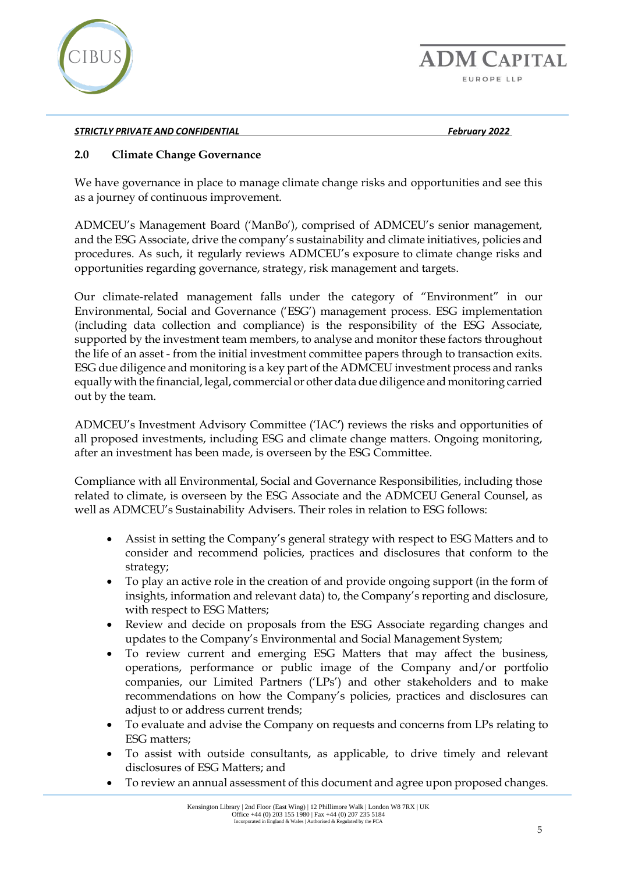

**ADM CAPITAL** EUROPE LLP

#### *STRICTLY PRIVATE AND CONFIDENTIAL February 2022*

### **2.0 Climate Change Governance**

We have governance in place to manage climate change risks and opportunities and see this as a journey of continuous improvement.

ADMCEU's Management Board ('ManBo'), comprised of ADMCEU's senior management, and the ESG Associate, drive the company's sustainability and climate initiatives, policies and procedures. As such, it regularly reviews ADMCEU's exposure to climate change risks and opportunities regarding governance, strategy, risk management and targets.

Our climate-related management falls under the category of "Environment" in our Environmental, Social and Governance ('ESG') management process. ESG implementation (including data collection and compliance) is the responsibility of the ESG Associate, supported by the investment team members, to analyse and monitor these factors throughout the life of an asset - from the initial investment committee papers through to transaction exits. ESG due diligence and monitoring is a key part of the ADMCEU investment process and ranks equally with the financial, legal, commercial or other data due diligence and monitoring carried out by the team.

ADMCEU's Investment Advisory Committee ('IAC**'**) reviews the risks and opportunities of all proposed investments, including ESG and climate change matters. Ongoing monitoring, after an investment has been made, is overseen by the ESG Committee.

Compliance with all Environmental, Social and Governance Responsibilities, including those related to climate, is overseen by the ESG Associate and the ADMCEU General Counsel, as well as ADMCEU's Sustainability Advisers. Their roles in relation to ESG follows:

- Assist in setting the Company's general strategy with respect to ESG Matters and to consider and recommend policies, practices and disclosures that conform to the strategy;
- To play an active role in the creation of and provide ongoing support (in the form of insights, information and relevant data) to, the Company's reporting and disclosure, with respect to ESG Matters;
- Review and decide on proposals from the ESG Associate regarding changes and updates to the Company's Environmental and Social Management System;
- To review current and emerging ESG Matters that may affect the business, operations, performance or public image of the Company and/or portfolio companies, our Limited Partners ('LPs') and other stakeholders and to make recommendations on how the Company's policies, practices and disclosures can adjust to or address current trends;
- To evaluate and advise the Company on requests and concerns from LPs relating to ESG matters;
- To assist with outside consultants, as applicable, to drive timely and relevant disclosures of ESG Matters; and
- To review an annual assessment of this document and agree upon proposed changes.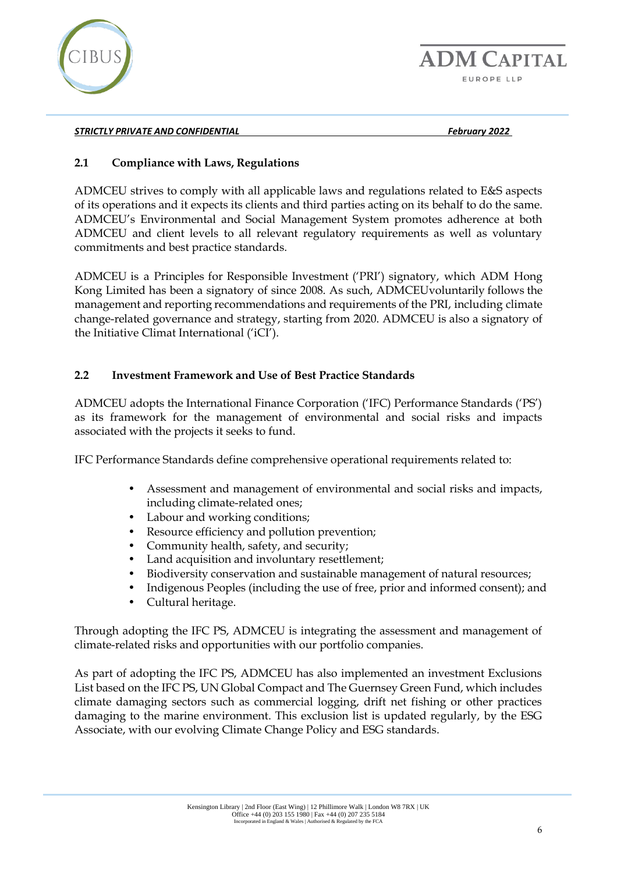

# <span id="page-5-0"></span>**2.1 Compliance with Laws, Regulations**

ADMCEU strives to comply with all applicable laws and regulations related to E&S aspects of its operations and it expects its clients and third parties acting on its behalf to do the same. ADMCEU's Environmental and Social Management System promotes adherence at both ADMCEU and client levels to all relevant regulatory requirements as well as voluntary commitments and best practice standards.

ADMCEU is a Principles for Responsible Investment ('PRI') signatory, which ADM Hong Kong Limited has been a signatory of since 2008. As such, ADMCEUvoluntarily follows the management and reporting recommendations and requirements of the PRI, including climate change-related governance and strategy, starting from 2020. ADMCEU is also a signatory of the Initiative Climat International ('iCI').

# <span id="page-5-1"></span>**2.2 Investment Framework and Use of Best Practice Standards**

ADMCEU adopts the International Finance Corporation ('IFC) Performance Standards ('PS') as its framework for the management of environmental and social risks and impacts associated with the projects it seeks to fund.

IFC Performance Standards define comprehensive operational requirements related to:

- Assessment and management of environmental and social risks and impacts, including climate-related ones;
- Labour and working conditions;
- Resource efficiency and pollution prevention;
- Community health, safety, and security;
- Land acquisition and involuntary resettlement;
- Biodiversity conservation and sustainable management of natural resources;
- Indigenous Peoples (including the use of free, prior and informed consent); and
- Cultural heritage.

Through adopting the IFC PS, ADMCEU is integrating the assessment and management of climate-related risks and opportunities with our portfolio companies.

As part of adopting the IFC PS, ADMCEU has also implemented an investment Exclusions List based on the IFC PS, UN Global Compact and The Guernsey Green Fund, which includes climate damaging sectors such as commercial logging, drift net fishing or other practices damaging to the marine environment. This exclusion list is updated regularly, by the ESG Associate, with our evolving Climate Change Policy and ESG standards.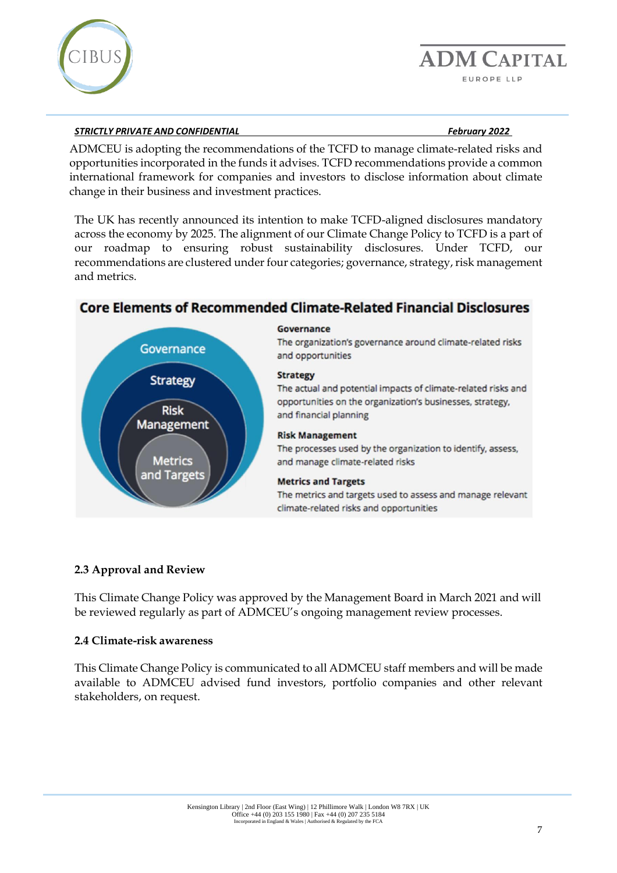

Governance

**Strategy** 

**Risk** 

Management

Metrics

and Targets

ADMCEU is adopting the recommendations of the TCFD to manage climate-related risks and opportunities incorporated in the funds it advises. TCFD recommendations provide a common international framework for companies and investors to disclose information about climate change in their business and investment practices.

The UK has recently announced its intention to make TCFD-aligned disclosures mandatory across the economy by 2025. The alignment of our Climate Change Policy to TCFD is a part of our roadmap to ensuring robust sustainability disclosures. Under TCFD, our recommendations are clustered under four categories; governance, strategy, risk management and metrics.

# **Core Elements of Recommended Climate-Related Financial Disclosures**

# Governance

The organization's governance around climate-related risks and opportunities

#### **Strategy**

The actual and potential impacts of climate-related risks and opportunities on the organization's businesses, strategy, and financial planning

#### **Risk Management**

The processes used by the organization to identify, assess, and manage climate-related risks

#### **Metrics and Targets**

The metrics and targets used to assess and manage relevant climate-related risks and opportunities

# <span id="page-6-0"></span>**2.3 Approval and Review**

This Climate Change Policy was approved by the Management Board in March 2021 and will be reviewed regularly as part of ADMCEU's ongoing management review processes.

#### <span id="page-6-1"></span>**2.4 Climate-risk awareness**

This Climate Change Policy is communicated to all ADMCEU staff members and will be made available to ADMCEU advised fund investors, portfolio companies and other relevant stakeholders, on request.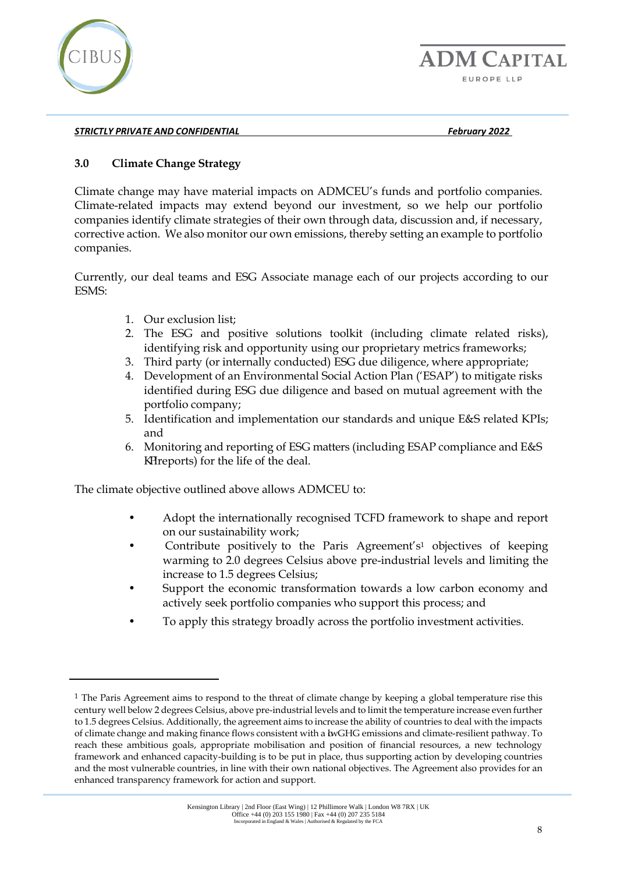

# <span id="page-7-0"></span>**3.0 Climate Change Strategy**

Climate change may have material impacts on ADMCEU's funds and portfolio companies. Climate-related impacts may extend beyond our investment, so we help our portfolio companies identify climate strategies of their own through data, discussion and, if necessary, corrective action. We also monitor our own emissions, thereby setting an example to portfolio companies.

Currently, our deal teams and ESG Associate manage each of our projects according to our ESMS:

- 1. Our exclusion list;
- 2. The ESG and positive solutions toolkit (including climate related risks), identifying risk and opportunity using our proprietary metrics frameworks;
- 3. Third party (or internally conducted) ESG due diligence, where appropriate;
- 4. Development of an Environmental Social Action Plan ('ESAP') to mitigate risks identified during ESG due diligence and based on mutual agreement with the portfolio company;
- 5. Identification and implementation our standards and unique E&S related KPIs; and
- 6. Monitoring and reporting of ESG matters (including ESAP compliance and E&S KPIreports) for the life of the deal.

The climate objective outlined above allows ADMCEU to:

- Adopt the internationally recognised TCFD framework to shape and report on our sustainability work;
- Contribute positively to the Paris Agreement's<sup>1</sup> objectives of keeping warming to 2.0 degrees Celsius above pre-industrial levels and limiting the increase to 1.5 degrees Celsius;
- Support the economic transformation towards a low carbon economy and actively seek portfolio companies who support this process; and
- To apply this strategy broadly across the portfolio investment activities.

<sup>&</sup>lt;sup>1</sup> The Paris Agreement aims to respond to the threat of climate change by keeping a global temperature rise this century well below 2 degrees Celsius, above pre-industrial levels and to limit the temperature increase even further to 1.5 degrees Celsius. Additionally, the agreement aims to increase the ability of countries to deal with the impacts of climate change and making finance flows consistent with a bwGHG emissions and climate-resilient pathway. To reach these ambitious goals, appropriate mobilisation and position of financial resources, a new technology framework and enhanced capacity-building is to be put in place, thus supporting action by developing countries and the most vulnerable countries, in line with their own national objectives. The Agreement also provides for an enhanced transparency framework for action and support.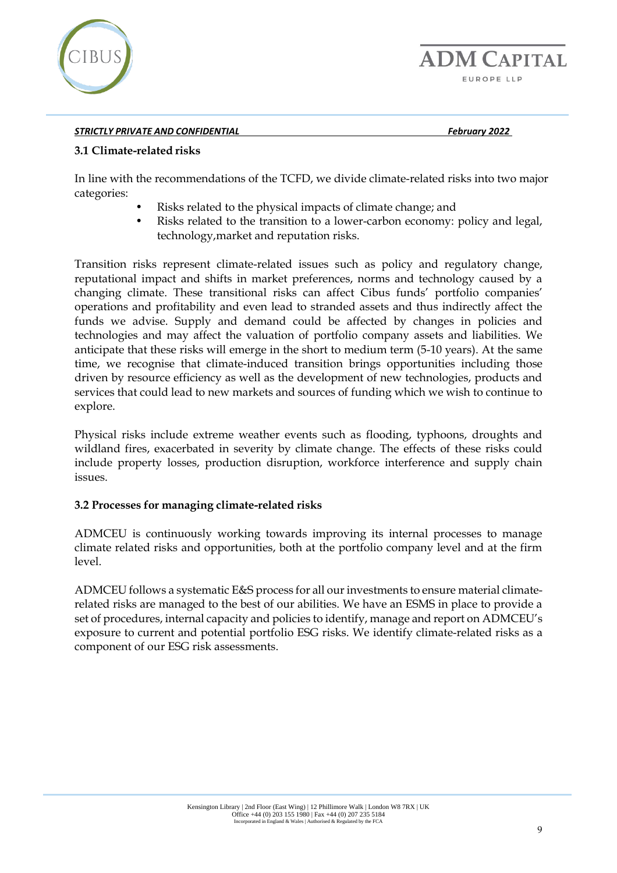

#### <span id="page-8-0"></span>**3.1 Climate-related risks**

In line with the recommendations of the TCFD, we divide climate-related risks into two major categories:

- Risks related to the physical impacts of climate change; and
- Risks related to the transition to a lower-carbon economy: policy and legal, technology,market and reputation risks.

Transition risks represent climate-related issues such as policy and regulatory change, reputational impact and shifts in market preferences, norms and technology caused by a changing climate. These transitional risks can affect Cibus funds' portfolio companies' operations and profitability and even lead to stranded assets and thus indirectly affect the funds we advise. Supply and demand could be affected by changes in policies and technologies and may affect the valuation of portfolio company assets and liabilities. We anticipate that these risks will emerge in the short to medium term (5-10 years). At the same time, we recognise that climate-induced transition brings opportunities including those driven by resource efficiency as well as the development of new technologies, products and services that could lead to new markets and sources of funding which we wish to continue to explore.

Physical risks include extreme weather events such as flooding, typhoons, droughts and wildland fires, exacerbated in severity by climate change. The effects of these risks could include property losses, production disruption, workforce interference and supply chain issues.

#### <span id="page-8-1"></span>**3.2 Processes for managing climate-related risks**

ADMCEU is continuously working towards improving its internal processes to manage climate related risks and opportunities, both at the portfolio company level and at the firm level.

ADMCEU follows a systematic E&S process for all ourinvestments to ensure material climaterelated risks are managed to the best of our abilities. We have an ESMS in place to provide a set of procedures, internal capacity and policies to identify, manage and report on ADMCEU's exposure to current and potential portfolio ESG risks. We identify climate-related risks as a component of our ESG risk assessments.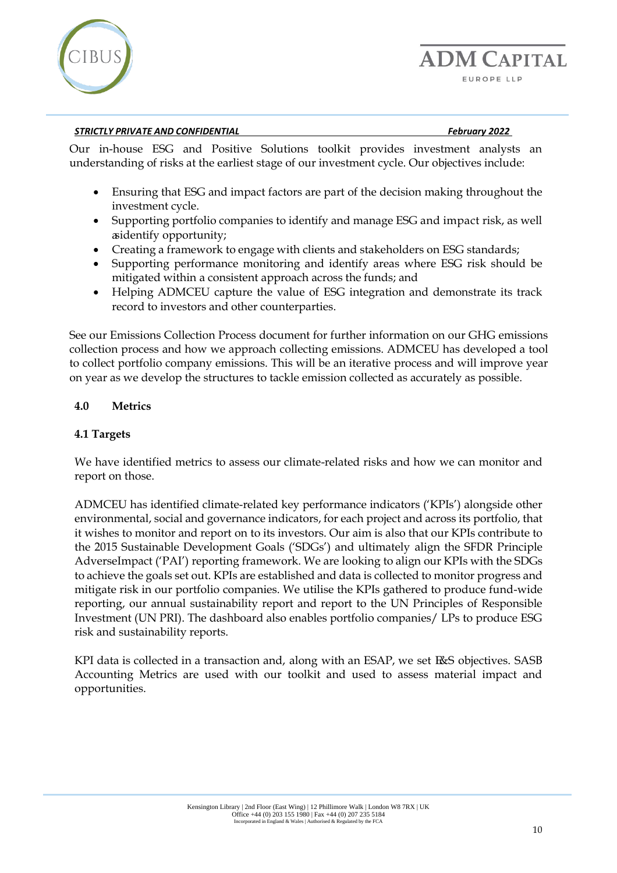

Our in-house ESG and Positive Solutions toolkit provides investment analysts an understanding of risks at the earliest stage of our investment cycle. Our objectives include:

- Ensuring that ESG and impact factors are part of the decision making throughout the investment cycle.
- Supporting portfolio companies to identify and manage ESG and impact risk, as well asidentify opportunity;
- Creating a framework to engage with clients and stakeholders on ESG standards;
- Supporting performance monitoring and identify areas where ESG risk should be mitigated within a consistent approach across the funds; and
- Helping ADMCEU capture the value of ESG integration and demonstrate its track record to investors and other counterparties.

See our Emissions Collection Process document for further information on our GHG emissions collection process and how we approach collecting emissions. ADMCEU has developed a tool to collect portfolio company emissions. This will be an iterative process and will improve year on year as we develop the structures to tackle emission collected as accurately as possible.

#### <span id="page-9-0"></span>**4.0 Metrics**

#### <span id="page-9-1"></span>**4.1 Targets**

We have identified metrics to assess our climate-related risks and how we can monitor and report on those.

ADMCEU has identified climate-related key performance indicators ('KPIs') alongside other environmental, social and governance indicators, for each project and across its portfolio, that it wishes to monitor and report on to its investors. Our aim is also that our KPIs contribute to the 2015 Sustainable Development Goals ('SDGs') and ultimately align the SFDR Principle AdverseImpact ('PAI') reporting framework. We are looking to align our KPIs with the SDGs to achieve the goals set out. KPIs are established and data is collected to monitor progress and mitigate risk in our portfolio companies. We utilise the KPIs gathered to produce fund-wide reporting, our annual sustainability report and report to the UN Principles of Responsible Investment (UN PRI). The dashboard also enables portfolio companies/ LPs to produce ESG risk and sustainability reports.

KPI data is collected in a transaction and, along with an ESAP, we set E&S objectives. SASB Accounting Metrics are used with our toolkit and used to assess material impact and opportunities.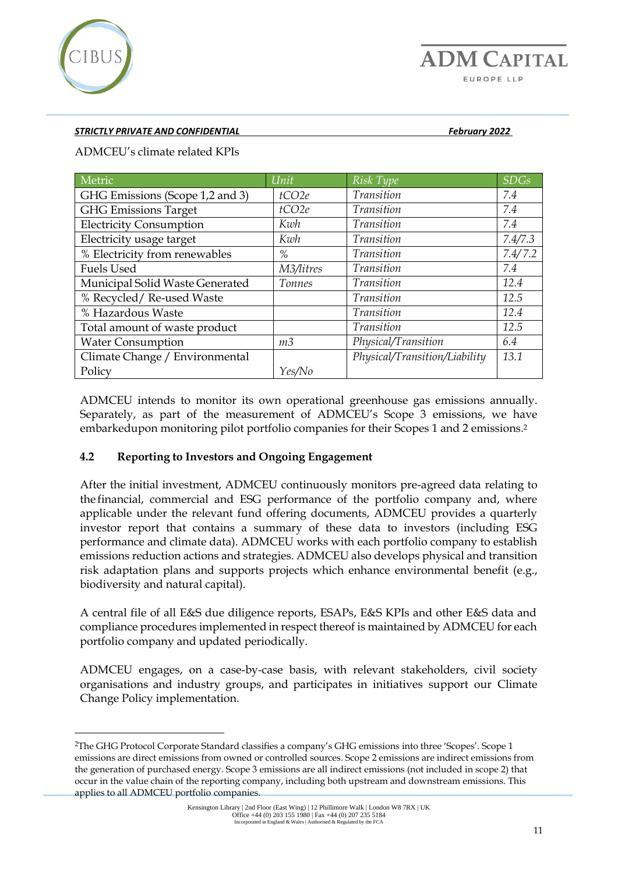

ADMCEU's climate related KPIs

| Metric                          | Unit           | Risk Type                     | <b>SDGs</b> |
|---------------------------------|----------------|-------------------------------|-------------|
| GHG Emissions (Scope 1,2 and 3) | tCO2e          | Transition                    | 7.4         |
| <b>GHG Emissions Target</b>     | tCO2e          | Transition                    | 7.4         |
| <b>Electricity Consumption</b>  | Kwh            | Transition                    | 7.4         |
| Electricity usage target        | Kwh            | Transition                    | 7.4/7.3     |
| % Electricity from renewables   | $\%$           | Transition                    | 7.4/7.2     |
| <b>Fuels Used</b>               | M3/litres      | Transition                    | 7.4         |
| Municipal Solid Waste Generated | Tonnes         | <i>Transition</i>             | 12.4        |
| % Recycled/ Re-used Waste       |                | Transition                    | 12.5        |
| % Hazardous Waste               |                | Transition                    | 12.4        |
| Total amount of waste product   |                | Transition                    | 12.5        |
| <b>Water Consumption</b>        | m <sub>3</sub> | Physical/Transition           | 6.4         |
| Climate Change / Environmental  |                | Physical/Transition/Liability | 13.1        |
| Policy                          | Yes/No         |                               |             |

ADMCEU intends to monitor its own operational greenhouse gas emissions annually. Separately, as part of the measurement of ADMCEU's Scope 3 emissions, we have embarkedupon monitoring pilot portfolio companies for their Scopes 1 and 2 emissions.<sup>2</sup>

#### <span id="page-10-0"></span>**4.2 Reporting to Investors and Ongoing Engagement**

After the initial investment, ADMCEU continuously monitors pre-agreed data relating to the financial, commercial and ESG performance of the portfolio company and, where applicable under the relevant fund offering documents, ADMCEU provides a quarterly investor report that contains a summary of these data to investors (including ESG performance and climate data). ADMCEU works with each portfolio company to establish emissions reduction actions and strategies. ADMCEU also develops physical and transition risk adaptation plans and supports projects which enhance environmental benefit (e.g., biodiversity and natural capital).

A central file of all E&S due diligence reports, ESAPs, E&S KPIs and other E&S data and compliance procedures implemented in respect thereof is maintained by ADMCEU for each portfolio company and updated periodically.

ADMCEU engages, on a case-by-case basis, with relevant stakeholders, civil society organisations and industry groups, and participates in initiatives support our Climate Change Policy implementation.

<sup>2</sup>The GHG Protocol Corporate Standard classifies a company's GHG emissions into three 'Scopes'. Scope 1 emissions are direct emissions from owned or controlled sources. Scope 2 emissions are indirect emissions from the generation of purchased energy. Scope 3 emissions are all indirect emissions (not included in scope 2) that occur in the value chain of the reporting company, including both upstream and downstream emissions. This applies to all ADMCEU portfolio companies.